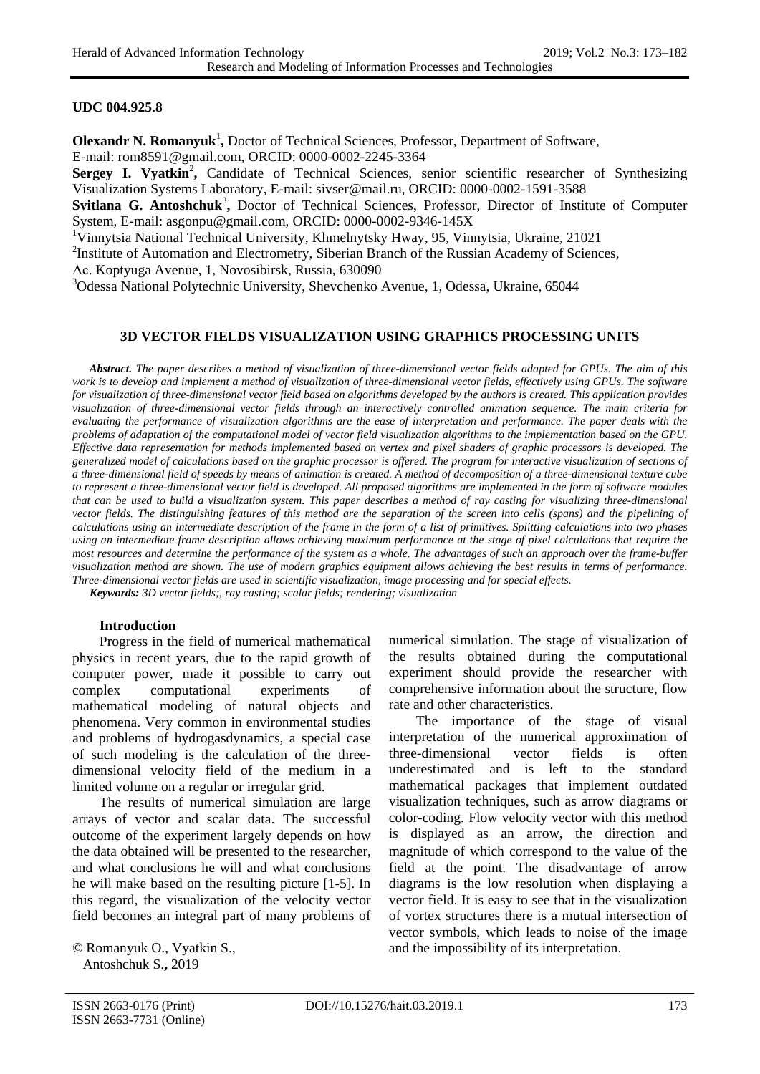#### **UDC [004.925.8](https://teacode.com/online/udc/00/004.925.8.html)**

**Olexandr N. Romanyuk<sup>1</sup>**, Doctor of Technical Sciences, Professor, Department of Software, E-mail: rom8591@gmail.com, ORCID: 0000-0002-2245-3364

Sergey I. Vyatkin<sup>2</sup>, Candidate of Technical Sciences, senior scientific researcher of Synthesizing Visualization Systems Laboratory, E-mail: [sivser@mail.ru,](mailto:sivser@mail.ru) ORCID: 0000-0002-1591-3588

Svitlana G. Antoshchuk<sup>3</sup>, Doctor of Technical Sciences, Professor, Director of Institute of Computer System, E-mail: [asgonpu@gmail.com,](mailto:asgonpu@gmail.com) ORCID: [0000-0002-9346-145X](https://orcid.org/0000-0002-9346-145X)

<sup>1</sup>Vinnytsia National Technical University, Khmelnytsky Hway, 95, Vinnytsia, Ukraine, 21021

<sup>2</sup>Institute of Automation and Electrometry, Siberian Branch of the Russian Academy of Sciences,

Aс. Koptyuga Avenue, 1, Novosibirsk, Russia, 630090

3 Odessa National Polytechnic University, Shevchenko Avenue, 1, Odessa, Ukraine, 65044

#### **3D VECTOR FIELDS VISUALIZATION USING GRAPHICS PROCESSING UNITS**

 *Abstract. The paper describes a method of visualization of three-dimensional vector fields adapted for GPUs. The aim of this work is to develop and implement a method of visualization of three-dimensional vector fields, effectively using GPUs. The software for visualization of three-dimensional vector field based on algorithms developed by the authors is created. This application provides visualization of three-dimensional vector fields through an interactively controlled animation sequence. The main criteria for evaluating the performance of visualization algorithms are the ease of interpretation and performance. The paper deals with the problems of adaptation of the computational model of vector field visualization algorithms to the implementation based on the GPU. Effective data representation for methods implemented based on vertex and pixel shaders of graphic processors is developed. The generalized model of calculations based on the graphic processor is offered. The program for interactive visualization of sections of a three-dimensional field of speeds by means of animation is created. A method of decomposition of a three-dimensional texture cube to represent a three-dimensional vector field is developed. All proposed algorithms are implemented in the form of software modules that can be used to build a visualization system. This paper describes a method of ray casting for visualizing three-dimensional vector fields. The distinguishing features of this method are the separation of the screen into cells (spans) and the pipelining of calculations using an intermediate description of the frame in the form of a list of primitives. Splitting calculations into two phases using an intermediate frame description allows achieving maximum performance at the stage of pixel calculations that require the most resources and determine the performance of the system as a whole. The advantages of such an approach over the frame-buffer visualization method are shown. The use of modern graphics equipment allows achieving the best results in terms of performance. Three-dimensional vector fields are used in scientific visualization, image processing and for special effects.*

 *Keywords: 3D vector fields;, ray casting; scalar fields; rendering; visualization*

#### **Introduction**

Progress in the field of numerical mathematical physics in recent years, due to the rapid growth of computer power, made it possible to carry out complex computational experiments of mathematical modeling of natural objects and phenomena. Very common in environmental studies and problems of hydrogasdynamics, a special case of such modeling is the calculation of the threedimensional velocity field of the medium in a limited volume on a regular or irregular grid.

The results of numerical simulation are large arrays of vector and scalar data. The successful outcome of the experiment largely depends on how the data obtained will be presented to the researcher, and what conclusions he will and what conclusions he will make based on the resulting picture [1-5]. In this regard, the visualization of the velocity vector field becomes an integral part of many problems of

© Romanyuk O., Vyatkin S., Antoshchuk S.**,** 2019

numerical simulation. The stage of visualization of the results obtained during the computational experiment should provide the researcher with comprehensive information about the structure, flow rate and other characteristics.

The importance of the stage of visual interpretation of the numerical approximation of three-dimensional vector fields is often underestimated and is left to the standard mathematical packages that implement outdated visualization techniques, such as arrow diagrams or color-coding. Flow velocity vector with this method is displayed as an arrow, the direction and magnitude of which correspond to the value of the field at the point. The disadvantage of arrow diagrams is the low resolution when displaying a vector field. It is easy to see that in the visualization of vortex structures there is a mutual intersection of vector symbols, which leads to noise of the image and the impossibility of its interpretation.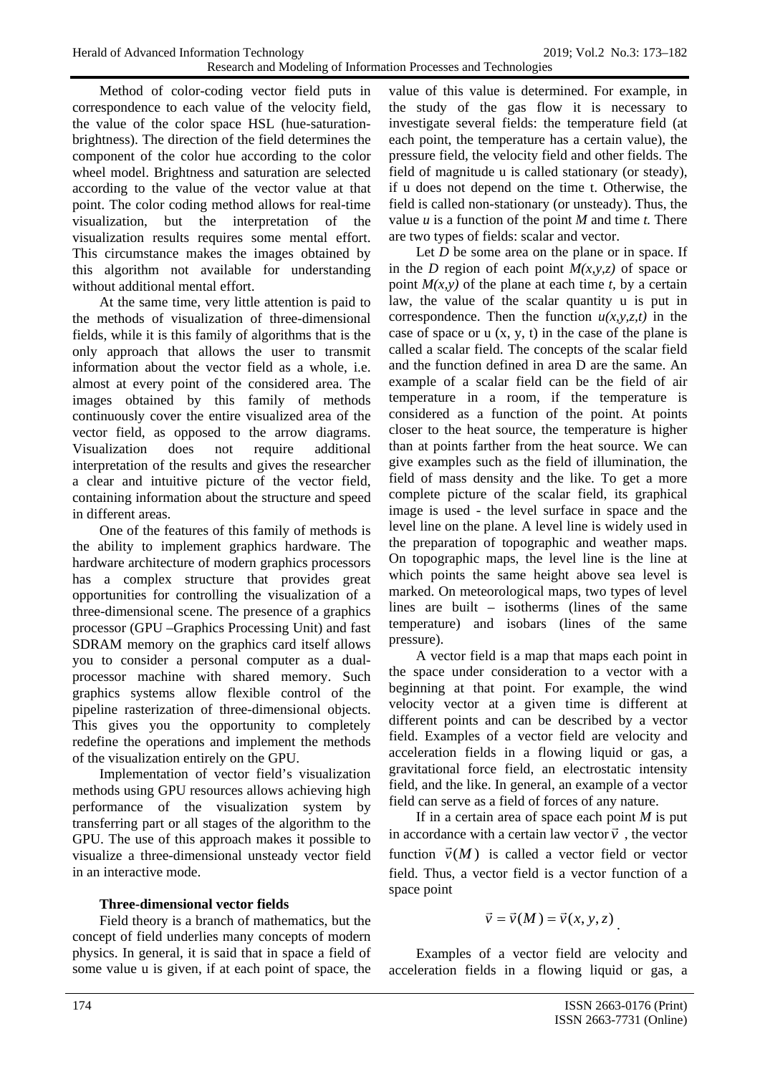Method of color-coding vector field puts in correspondence to each value of the velocity field, the value of the color space HSL (hue-saturationbrightness). The direction of the field determines the component of the color hue according to the color wheel model. Brightness and saturation are selected according to the value of the vector value at that point. The color coding method allows for real-time visualization, but the interpretation of the visualization results requires some mental effort. This circumstance makes the images obtained by this algorithm not available for understanding without additional mental effort.

At the same time, very little attention is paid to the methods of visualization of three-dimensional fields, while it is this family of algorithms that is the only approach that allows the user to transmit information about the vector field as a whole, i.e. almost at every point of the considered area. The images obtained by this family of methods continuously cover the entire visualized area of the vector field, as opposed to the arrow diagrams. Visualization does not require additional interpretation of the results and gives the researcher a clear and intuitive picture of the vector field, containing information about the structure and speed in different areas.

One of the features of this family of methods is the ability to implement graphics hardware. The hardware architecture of modern graphics processors has a complex structure that provides great opportunities for controlling the visualization of a three-dimensional scene. The presence of a graphics processor (GPU –Graphics Processing Unit) and fast SDRAM memory on the graphics card itself allows you to consider a personal computer as a dualprocessor machine with shared memory. Such graphics systems allow flexible control of the pipeline rasterization of three-dimensional objects. This gives you the opportunity to completely redefine the operations and implement the methods of the visualization entirely on the GPU.

Implementation of vector field's visualization methods using GPU resources allows achieving high performance of the visualization system by transferring part or all stages of the algorithm to the GPU. The use of this approach makes it possible to visualize a three-dimensional unsteady vector field in an interactive mode.

# **Three-dimensional vector fields**

Field theory is a branch of mathematics, but the concept of field underlies many concepts of modern physics. In general, it is said that in space a field of some value u is given, if at each point of space, the

value of this value is determined. For example, in the study of the gas flow it is necessary to investigate several fields: the temperature field (at each point, the temperature has a certain value), the pressure field, the velocity field and other fields. The field of magnitude u is called stationary (or steady), if u does not depend on the time t. Otherwise, the field is called non-stationary (or unsteady). Thus, the value *u* is a function of the point *M* and time *t.* There are two types of fields: scalar and vector.

Let *D* be some area on the plane or in space. If in the *D* region of each point  $M(x, y, z)$  of space or point  $M(x, y)$  of the plane at each time *t*, by a certain law, the value of the scalar quantity u is put in correspondence. Then the function  $u(x, y, z, t)$  in the case of space or  $u(x, y, t)$  in the case of the plane is called a scalar field. The concepts of the scalar field and the function defined in area D are the same. An example of a scalar field can be the field of air temperature in a room, if the temperature is considered as a function of the point. At points closer to the heat source, the temperature is higher than at points farther from the heat source. We can give examples such as the field of illumination, the field of mass density and the like. To get a more complete picture of the scalar field, its graphical image is used - the level surface in space and the level line on the plane. A level line is widely used in the preparation of topographic and weather maps. On topographic maps, the level line is the line at which points the same height above sea level is marked. On meteorological maps, two types of level lines are built – isotherms (lines of the same temperature) and isobars (lines of the same pressure).

A vector field is a map that maps each point in the space under consideration to a vector with a beginning at that point. For example, the wind velocity vector at a given time is different at different points and can be described by a vector field. Examples of a vector field are velocity and acceleration fields in a flowing liquid or gas, a gravitational force field, an electrostatic intensity field, and the like. In general, an example of a vector field can serve as a field of forces of any nature.

If in a certain area of space each point *M* is put If in a certain area of space each point *m* is put<br>in accordance with a certain law vector  $\vec{v}$ , the vector function  $\vec{v}(M)$  is called a vector field or vector field. Thus, a vector field is a vector function of a space point

$$
\vec{v} = \vec{v}(M) = \vec{v}(x, y, z)
$$

Examples of a vector field are velocity and acceleration fields in a flowing liquid or gas, a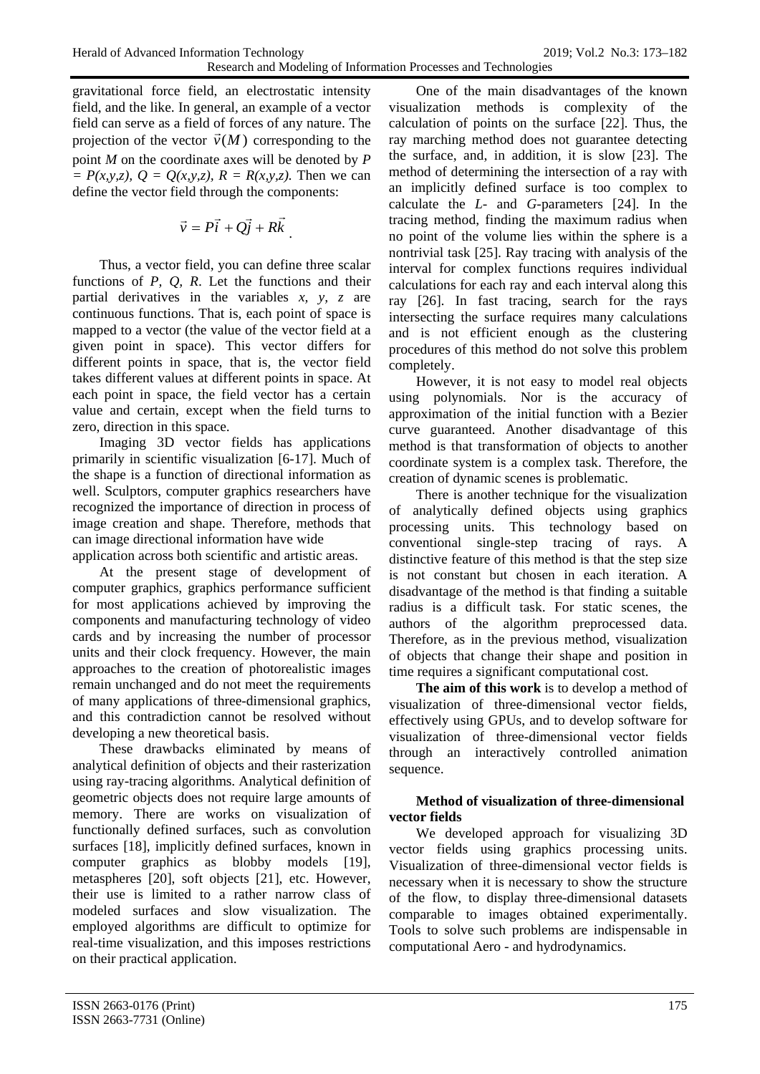gravitational force field, an electrostatic intensity field, and the like. In general, an example of a vector field can serve as a field of forces of any nature. The projection of the vector  $\vec{v}(M)$  corresponding to the point *M* on the coordinate axes will be denoted by *P*   $P(x,y,z)$ ,  $Q = Q(x,y,z)$ ,  $R = R(x,y,z)$ . Then we can define the vector field through the components:

$$
\vec{v} = P\vec{i} + Q\vec{j} + R\vec{k}
$$

Thus, a vector field, you can define three scalar functions of *P, Q, R*. Let the functions and their partial derivatives in the variables *x, y, z* are continuous functions. That is, each point of space is mapped to a vector (the value of the vector field at a given point in space). This vector differs for different points in space, that is, the vector field takes different values at different points in space. At each point in space, the field vector has a certain value and certain, except when the field turns to zero, direction in this space.

Imaging 3D vector fields has applications primarily in scientific visualization [6-17]. Much of the shape is a function of directional information as well. Sculptors, computer graphics researchers have recognized the importance of direction in process of image creation and shape. Therefore, methods that can image directional information have wide application across both scientific and artistic areas.

At the present stage of development of computer graphics, graphics performance sufficient for most applications achieved by improving the components and manufacturing technology of video cards and by increasing the number of processor units and their clock frequency. However, the main approaches to the creation of photorealistic images remain unchanged and do not meet the requirements of many applications of three-dimensional graphics, and this contradiction cannot be resolved without developing a new theoretical basis.

These drawbacks eliminated by means of analytical definition of objects and their rasterization using ray-tracing algorithms. Analytical definition of geometric objects does not require large amounts of memory. There are works on visualization of functionally defined surfaces, such as convolution surfaces [18], implicitly defined surfaces, known in computer graphics as blobby models [19], metaspheres [20], soft objects [21], etc. However, their use is limited to a rather narrow class of modeled surfaces and slow visualization. The employed algorithms are difficult to optimize for real-time visualization, and this imposes restrictions on their practical application.

One of the main disadvantages of the known visualization methods is complexity of the calculation of points on the surface [22]. Thus, the ray marching method does not guarantee detecting the surface, and, in addition, it is slow [23]. The method of determining the intersection of a ray with an implicitly defined surface is too complex to calculate the *L*- and *G*-parameters [24]. In the tracing method, finding the maximum radius when no point of the volume lies within the sphere is a nontrivial task [25]. Ray tracing with analysis of the interval for complex functions requires individual calculations for each ray and each interval along this ray [26]. In fast tracing, search for the rays intersecting the surface requires many calculations and is not efficient enough as the clustering procedures of this method do not solve this problem completely.

However, it is not easy to model real objects using polynomials. Nor is the accuracy of approximation of the initial function with a Bezier curve guaranteed. Another disadvantage of this method is that transformation of objects to another coordinate system is a complex task. Therefore, the creation of dynamic scenes is problematic.

There is another technique for the visualization of analytically defined objects using graphics processing units. This technology based on conventional single-step tracing of rays. A distinctive feature of this method is that the step size is not constant but chosen in each iteration. A disadvantage of the method is that finding a suitable radius is a difficult task. For static scenes, the authors of the algorithm preprocessed data. Therefore, as in the previous method, visualization of objects that change their shape and position in time requires a significant computational cost.

**The aim of this work** is to develop a method of visualization of three-dimensional vector fields, effectively using GPUs, and to develop software for visualization of three-dimensional vector fields through an interactively controlled animation sequence.

## **Method of visualization of three-dimensional vector fields**

We developed approach for visualizing 3D vector fields using graphics processing units. Visualization of three-dimensional vector fields is necessary when it is necessary to show the structure of the flow, to display three-dimensional datasets comparable to images obtained experimentally. Tools to solve such problems are indispensable in computational Aero - and hydrodynamics.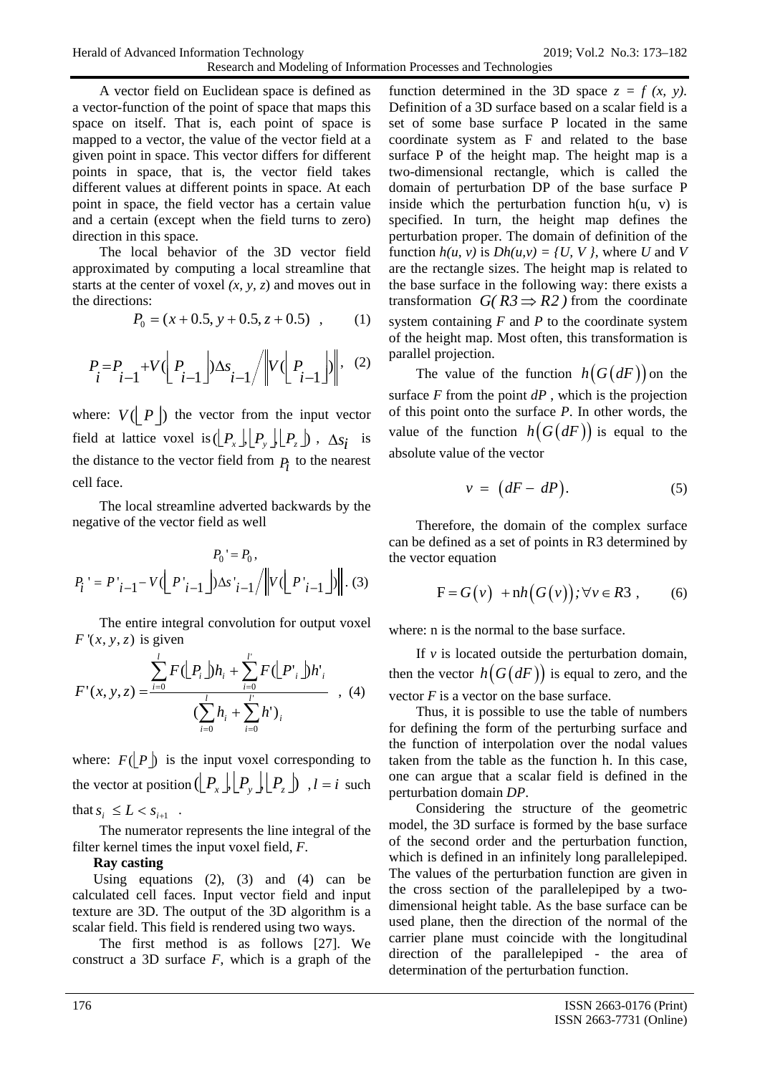A vector field on Euclidean space is defined as a vector-function of the point of space that maps this space on itself. That is, each point of space is mapped to a vector, the value of the vector field at a given point in space. This vector differs for different points in space, that is, the vector field takes different values at different points in space. At each point in space, the field vector has a certain value and a certain (except when the field turns to zero) direction in this space.

The local behavior of the 3D vector field approximated by computing a local streamline that starts at the center of voxel *(x, y, z*) and moves out in the directions:

$$
P_0 = (x + 0.5, y + 0.5, z + 0.5) , \qquad (1)
$$

$$
P_i = P_{i-1} + V \left( P_{i-1} \right) \Delta s_{i-1} / \left\| V \left( P_{i-1} \right) \right\|, (2)
$$

where:  $V(\mid P \mid)$  the vector from the input vector field at lattice voxel is  $\left( \left\lfloor P_x \right\rfloor \middle\lfloor P_y \right\rfloor \left\lfloor P_z \right\rfloor$ ,  $\Delta s_i$  is the distance to the vector field from  $P_i$  to the nearest cell face.

The local streamline adverted backwards by the negative of the vector field as well

$$
P_0' = P_0,
$$
  

$$
P_i' = P'_{i-1} - V(\underbrace{\left| P'_{i-1} \right|}) \Delta s'_{i-1} / \left\| V(\underbrace{\left| P'_{i-1} \right|}) \right\|.
$$
 (3)

The entire integral convolution for output voxel  $F'(x, y, z)$  is given

$$
F'(x, y, z) = \frac{\sum_{i=0}^{l} F(\lfloor P_i \rfloor)h_i + \sum_{i=0}^{l'} F(\lfloor P_i \rfloor)h'_i}{\left(\sum_{i=0}^{l} h_i + \sum_{i=0}^{l'} h'\right)_i}, (4)
$$

where:  $F(|P|)$  is the input voxel corresponding to the vector at position  $(\lfloor P_x \rfloor) \lfloor P_y \rfloor \lfloor P_z \rfloor$ ,  $l = i$  such that  $s_i \leq L < s_{i+1}$ .

The numerator represents the line integral of the filter kernel times the input voxel field, *F*.

## **Ray casting**

Using equations  $(2)$ ,  $(3)$  and  $(4)$  can be calculated cell faces. Input vector field and input texture are 3D. The output of the 3D algorithm is a scalar field. This field is rendered using two ways.

The first method is as follows [27]. We construct a 3D surface *F*, which is a graph of the

function determined in the 3D space  $z = f(x, y)$ . Definition of a 3D surface based on a scalar field is a set of some base surface P located in the same coordinate system as F and related to the base surface P of the height map. The height map is a two-dimensional rectangle, which is called the domain of perturbation DP of the base surface P inside which the perturbation function  $h(u, v)$  is specified. In turn, the height map defines the perturbation proper. The domain of definition of the function  $h(u, v)$  is  $Dh(u, v) = \{U, V\}$ , where *U* and *V* are the rectangle sizes. The height map is related to the base surface in the following way: there exists a transformation *G(R3*  $\Rightarrow$  R2 ) from the coordinate system containing *F* and *P* to the coordinate system of the height map. Most often, this transformation is parallel projection.

The value of the function  $h(G(dF))$  on the surface  $F$  from the point  $dP$ , which is the projection of this point onto the surface *P*. In other words, the value of the function  $h(G(dF))$  is equal to the absolute value of the vector

$$
v = (dF - dP). \tag{5}
$$

Therefore, the domain of the complex surface can be defined as a set of points in R3 determined by the vector equation

$$
F = G(v) + nh(G(v)); \forall v \in R3 , \qquad (6)
$$

where: n is the normal to the base surface.

If  $\nu$  is located outside the perturbation domain, then the vector  $h(G(dF))$  is equal to zero, and the vector *F* is a vector on the base surface.

Thus, it is possible to use the table of numbers for defining the form of the perturbing surface and the function of interpolation over the nodal values taken from the table as the function h. In this case, one can argue that a scalar field is defined in the perturbation domain *DP*.

Considering the structure of the geometric model, the 3D surface is formed by the base surface of the second order and the perturbation function, which is defined in an infinitely long parallelepiped. The values of the perturbation function are given in the cross section of the parallelepiped by a twodimensional height table. As the base surface can be used plane, then the direction of the normal of the carrier plane must coincide with the longitudinal direction of the parallelepiped - the area of determination of the perturbation function.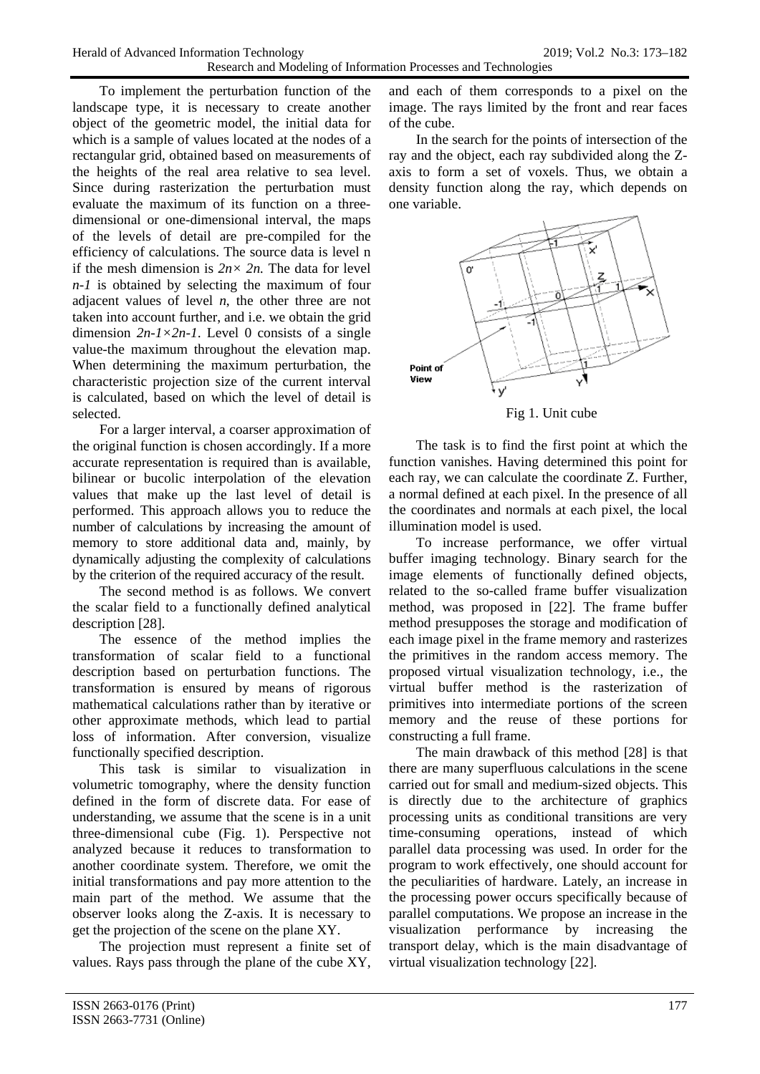To implement the perturbation function of the landscape type, it is necessary to create another object of the geometric model, the initial data for which is a sample of values located at the nodes of a rectangular grid, obtained based on measurements of the heights of the real area relative to sea level. Since during rasterization the perturbation must evaluate the maximum of its function on a threedimensional or one-dimensional interval, the maps of the levels of detail are pre-compiled for the efficiency of calculations. The source data is level n if the mesh dimension is  $2n \times 2n$ . The data for level *n-1* is obtained by selecting the maximum of four adjacent values of level *n*, the other three are not taken into account further, and i.e. we obtain the grid dimension  $2n-1 \times 2n-1$ . Level 0 consists of a single value-the maximum throughout the elevation map. When determining the maximum perturbation, the characteristic projection size of the current interval is calculated, based on which the level of detail is selected.

For a larger interval, a coarser approximation of the original function is chosen accordingly. If a more accurate representation is required than is available, bilinear or bucolic interpolation of the elevation values that make up the last level of detail is performed. This approach allows you to reduce the number of calculations by increasing the amount of memory to store additional data and, mainly, by dynamically adjusting the complexity of calculations by the criterion of the required accuracy of the result.

The second method is as follows. We convert the scalar field to a functionally defined analytical description [28].

The essence of the method implies the transformation of scalar field to a functional description based on perturbation functions. The transformation is ensured by means of rigorous mathematical calculations rather than by iterative or other approximate methods, which lead to partial loss of information. After conversion, visualize functionally specified description.

This task is similar to visualization in volumetric tomography, where the density function defined in the form of discrete data. For ease of understanding, we assume that the scene is in a unit three-dimensional cube (Fig. 1). Perspective not analyzed because it reduces to transformation to another coordinate system. Therefore, we omit the initial transformations and pay more attention to the main part of the method. We assume that the observer looks along the Z-axis. It is necessary to get the projection of the scene on the plane XY.

The projection must represent a finite set of values. Rays pass through the plane of the cube XY, and each of them corresponds to a pixel on the image. The rays limited by the front and rear faces of the cube.

In the search for the points of intersection of the ray and the object, each ray subdivided along the Zaxis to form a set of voxels. Thus, we obtain a density function along the ray, which depends on one variable.



Fig 1. Unit cube

The task is to find the first point at which the function vanishes. Having determined this point for each ray, we can calculate the coordinate Z. Further, a normal defined at each pixel. In the presence of all the coordinates and normals at each pixel, the local illumination model is used.

To increase performance, we offer virtual buffer imaging technology. Binary search for the image elements of functionally defined objects, related to the so-called frame buffer visualization method, was proposed in [22]. The frame buffer method presupposes the storage and modification of each image pixel in the frame memory and rasterizes the primitives in the random access memory. The proposed virtual visualization technology, i.e., the virtual buffer method is the rasterization of primitives into intermediate portions of the screen memory and the reuse of these portions for constructing a full frame.

The main drawback of this method [28] is that there are many superfluous calculations in the scene carried out for small and medium-sized objects. This is directly due to the architecture of graphics processing units as conditional transitions are very time-consuming operations, instead of which parallel data processing was used. In order for the program to work effectively, one should account for the peculiarities of hardware. Lately, an increase in the processing power occurs specifically because of parallel computations. We propose an increase in the visualization performance by increasing the transport delay, which is the main disadvantage of virtual visualization technology [22].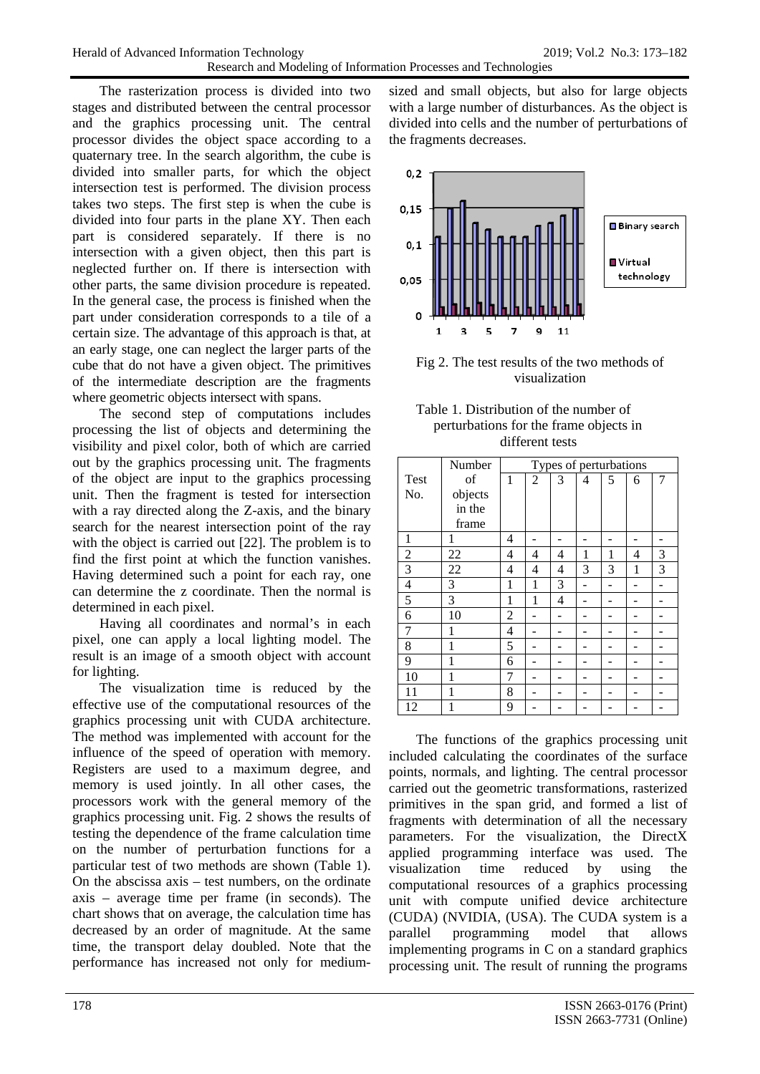The rasterization process is divided into two stages and distributed between the central processor and the graphics processing unit. The central processor divides the object space according to a quaternary tree. In the search algorithm, the cube is divided into smaller parts, for which the object intersection test is performed. The division process takes two steps. The first step is when the cube is divided into four parts in the plane XY. Then each part is considered separately. If there is no intersection with a given object, then this part is neglected further on. If there is intersection with other parts, the same division procedure is repeated. In the general case, the process is finished when the part under consideration corresponds to a tile of a certain size. The advantage of this approach is that, at an early stage, one can neglect the larger parts of the cube that do not have a given object. The primitives of the intermediate description are the fragments where geometric objects intersect with spans.

The second step of computations includes processing the list of objects and determining the visibility and pixel color, both of which are carried out by the graphics processing unit. The fragments of the object are input to the graphics processing unit. Then the fragment is tested for intersection with a ray directed along the Z-axis, and the binary search for the nearest intersection point of the ray with the object is carried out [22]. The problem is to find the first point at which the function vanishes. Having determined such a point for each ray, one can determine the z coordinate. Then the normal is determined in each pixel.

Having all coordinates and normal's in each pixel, one can apply a local lighting model. The result is an image of a smooth object with account for lighting.

The visualization time is reduced by the effective use of the computational resources of the graphics processing unit with CUDA architecture. The method was implemented with account for the influence of the speed of operation with memory. Registers are used to a maximum degree, and memory is used jointly. In all other cases, the processors work with the general memory of the graphics processing unit. Fig. 2 shows the results of testing the dependence of the frame calculation time on the number of perturbation functions for a particular test of two methods are shown (Table 1). On the abscissa axis – test numbers, on the ordinate axis – average time per frame (in seconds). The chart shows that on average, the calculation time has decreased by an order of magnitude. At the same time, the transport delay doubled. Note that the performance has increased not only for mediumsized and small objects, but also for large objects with a large number of disturbances. As the object is divided into cells and the number of perturbations of the fragments decreases.



Fig 2. The test results of the two methods of visualization

| Table 1. Distribution of the number of |
|----------------------------------------|
| perturbations for the frame objects in |
| different tests                        |

|      | Number  | Types of perturbations |                |   |   |   |   |   |
|------|---------|------------------------|----------------|---|---|---|---|---|
| Test | of      | 1                      | $\overline{2}$ | 3 | 4 | 5 | 6 | 7 |
| No.  | objects |                        |                |   |   |   |   |   |
|      | in the  |                        |                |   |   |   |   |   |
|      | frame   |                        |                |   |   |   |   |   |
| 1    | 1       | 4                      |                |   |   |   |   |   |
| 2    | 22      | $\overline{4}$         | 4              | 4 | 1 | 1 | 4 | 3 |
| 3    | 22      | 4                      | 4              | 4 | 3 | 3 | 1 | 3 |
| 4    | 3       | 1                      | 1              | 3 |   |   |   |   |
| 5    | 3       | 1                      | 1              | 4 |   |   |   |   |
| 6    | 10      | $\overline{2}$         |                |   |   |   |   |   |
| 7    | 1       | 4                      |                |   |   |   |   |   |
| 8    | 1       | 5                      |                |   |   |   |   |   |
| 9    | 1       | 6                      |                |   |   |   |   |   |
| 10   | 1       | 7                      |                |   |   |   |   |   |
| 11   | 1       | 8                      |                |   |   |   |   |   |
| 12   | 1       | 9                      |                |   |   |   |   |   |

The functions of the graphics processing unit included calculating the coordinates of the surface points, normals, and lighting. The central processor carried out the geometric transformations, rasterized primitives in the span grid, and formed a list of fragments with determination of all the necessary parameters. For the visualization, the DirectX applied programming interface was used. The visualization time reduced by using the computational resources of a graphics processing unit with compute unified device architecture (CUDA) (NVIDIA, (USA). The CUDA system is a parallel programming model that allows implementing programs in C on a standard graphics processing unit. The result of running the programs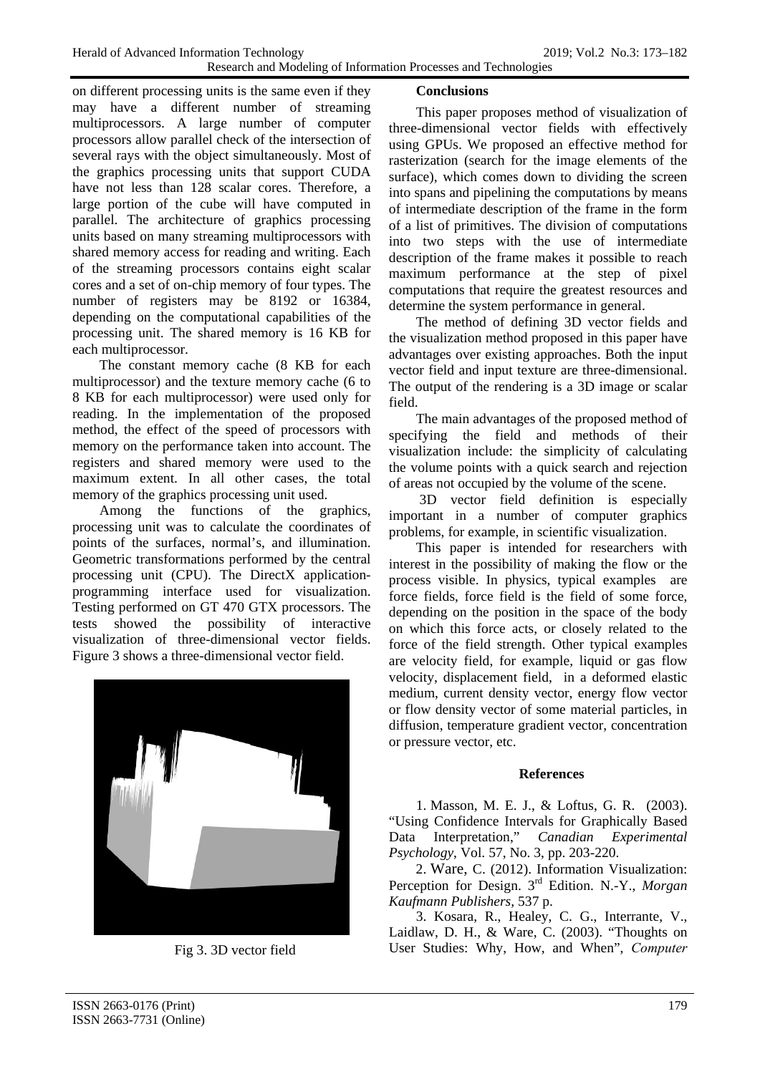on different processing units is the same even if they may have a different number of streaming multiprocessors. A large number of computer processors allow parallel check of the intersection of several rays with the object simultaneously. Most of the graphics processing units that support CUDA have not less than 128 scalar cores. Therefore, a large portion of the cube will have computed in parallel. The architecture of graphics processing units based on many streaming multiprocessors with shared memory access for reading and writing. Each of the streaming processors contains eight scalar cores and a set of on-chip memory of four types. The number of registers may be 8192 or 16384, depending on the computational capabilities of the processing unit. The shared memory is 16 KB for each multiprocessor.

The constant memory cache (8 KB for each multiprocessor) and the texture memory cache (6 to 8 KB for each multiprocessor) were used only for reading. In the implementation of the proposed method, the effect of the speed of processors with memory on the performance taken into account. The registers and shared memory were used to the maximum extent. In all other cases, the total memory of the graphics processing unit used.

Among the functions of the graphics, processing unit was to calculate the coordinates of points of the surfaces, normal's, and illumination. Geometric transformations performed by the central processing unit (CPU). The DirectX applicationprogramming interface used for visualization. Testing performed on GT 470 GTX processors. The tests showed the possibility of interactive visualization of three-dimensional vector fields. Figure 3 shows a three-dimensional vector field.



Fig 3. 3D vector field

# **Conclusions**

This paper proposes method of visualization of three-dimensional vector fields with effectively using GPUs. We proposed an effective method for rasterization (search for the image elements of the surface), which comes down to dividing the screen into spans and pipelining the computations by means of intermediate description of the frame in the form of a list of primitives. The division of computations into two steps with the use of intermediate description of the frame makes it possible to reach maximum performance at the step of pixel computations that require the greatest resources and determine the system performance in general.

The method of defining 3D vector fields and the visualization method proposed in this paper have advantages over existing approaches. Both the input vector field and input texture are three-dimensional. The output of the rendering is a 3D image or scalar field.

The main advantages of the proposed method of specifying the field and methods of their visualization include: the simplicity of calculating the volume points with a quick search and rejection of areas not occupied by the volume of the scene.

3D vector field definition is especially important in a number of computer graphics problems, for example, in scientific visualization.

This paper is intended for researchers with interest in the possibility of making the flow or the process visible. In physics, typical examples are force fields, force field is the field of some force, depending on the position in the space of the body on which this force acts, or closely related to the force of the field strength. Other typical examples are velocity field, for example, liquid or gas flow velocity, displacement field, in a deformed elastic medium, current density vector, energy flow vector or flow density vector of some material particles, in diffusion, temperature gradient vector, concentration or pressure vector, etc.

## **References**

1. Masson, M. E. J., & Loftus, G. R. (2003). "Using Confidence Intervals for Graphically Based Data Interpretation," *Canadian Experimental Psychology*, Vol. 57, No. 3, pp. 203-220.

2. Ware, C. (2012). Information Visualization: Perception for Design. 3rd Edition. N.-Y., *Morgan Kaufmann Publishers,* 537 p.

3. Kosara, R., Healey, C. G., Interrante, V., Laidlaw, D. H., & Ware, C. (2003). "Thoughts on User Studies: Why, How, and When", *Сomputer*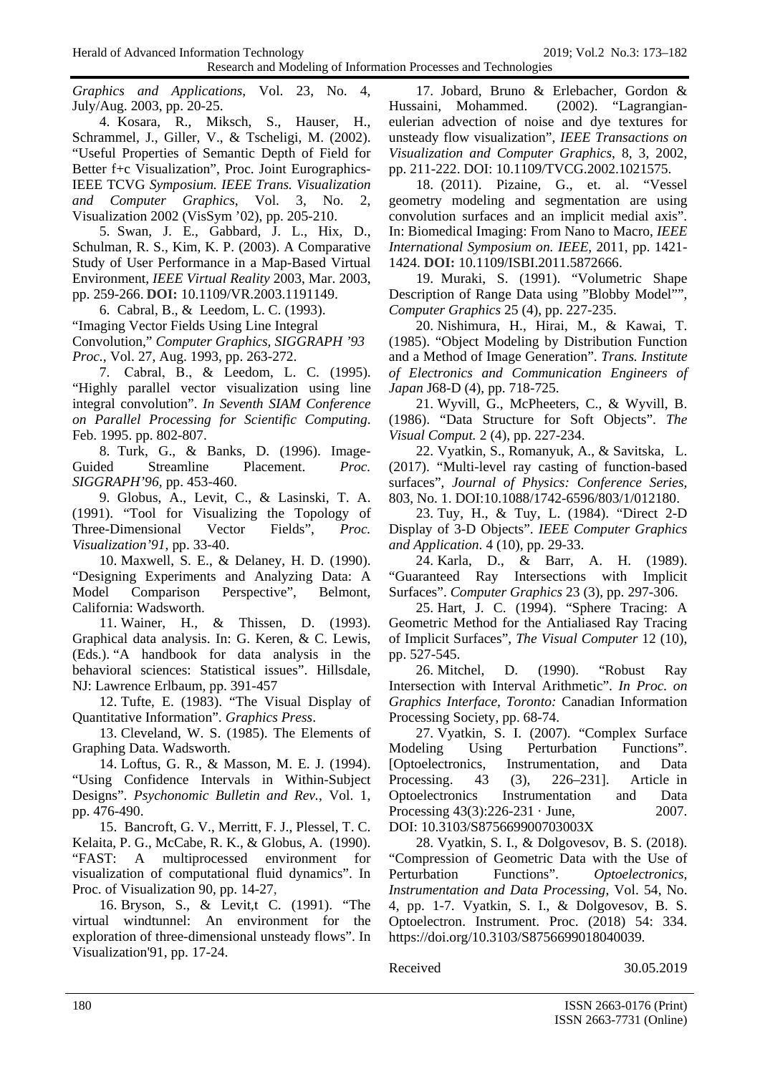*Graphics and Applications*, Vol. 23, No. 4,

July/Aug. 2003, pp. 20-25. 4. Kosara, R., Miksch, S., Hauser, H., Schrammel, J., Giller, V., & Tscheligi, M. (2002). "Useful Properties of Semantic Depth of Field for Better f+c Visualization", Proc. Joint Eurographics-IEEE TCVG *Symposium. IEEE Trans. Visualization and Computer Graphics*, Vol. 3, No. 2, Visualization 2002 (VisSym '02), pp. 205-210.

5. Swan, J. E., Gabbard, J. L., Hix, D., Schulman, R. S., Kim, K. P. (2003). A Comparative Study of User Performance in a Map-Based Virtual Environment, *IEEE Virtual Reality* 2003, Mar. 2003, pp. 259-266. **DOI:** [10.1109/VR.2003.1191149.](https://doi.org/10.1109/VR.2003.1191149)

6. Cabral, B., & Leedom, L. C. (1993).

"Imaging Vector Fields Using Line Integral

Convolution," *Computer Graphics, SIGGRAPH '93 Proc.*, Vol. 27, Aug. 1993, pp. 263-272.

7. Cabral, В., & Leedom, L. C. (1995). "Highly parallel vector visualization using line integral convolution". *In Seventh SIAM Conference on Parallel Processing for Scientific Computing*. Feb. 1995. pp. 802-807.

8. Turk, G., & Banks, D. (1996). Image-Guided Streamline Placement. *Proc. SIGGRAPH'96,* pp. 453-460.

9. Globus, A., Levit, C., & Lasinski, T. A. (1991). "Tool for Visualizing the Topology of Three-Dimensional Vector Fields", *Proc. Visualization'91*, pp. 33-40.

10. Maxwell, S. E., & Delaney, H. D. (1990). "Designing Experiments and Analyzing Data: A Model Comparison Perspective", Belmont, California: Wadsworth.

11. Wainer, H., & Thissen, D. (1993). Graphical data analysis. In: G. Keren, & C. Lewis, (Eds.). "A handbook for data analysis in the behavioral sciences: Statistical issues". Hillsdale, NJ: Lawrence Erlbaum, pр. 391-457

12. Tufte, E. (1983). "The Visual Display of Quantitative Information". *Graphics Press*.

13. Cleveland, W. S. (1985). The Elements of Graphing Data. Wadsworth.

14. Loftus, G. R., & Masson, M. E. J. (1994). "Using Confidence Intervals in Within-Subject Designs". *Psychonomic Bulletin and Rev.*, Vol. 1, pp. 476-490.

15. Bancroft, G. V., Merritt, F. J., Plessel, Т. C. Kelaita, P. G., McCabe, R. K., & Globus, A. (1990). "FAST: A multiprocessed environment for visualization of computational fluid dynamics". In Proc. of Visualization 90, pp. 14-27,

16. Bryson, S., & Levit,t C. (1991). "The virtual windtunnel: An environment for the exploration of three-dimensional unsteady flows". In Visualization'91, pp. 17-24.

17. Jobard, Bruno & Erlebacher, Gordon & Hussaini, Mohammed. (2002). "Lagrangianeulerian advection of noise and dye textures for unsteady flow visualization", *IEEE Transactions on Visualization and Computer Graphics*, 8, 3, 2002, pp. 211-222. DOI: 10.1109/TVCG.2002.1021575.

18. (2011). Pizaine, G., et. al. "Vessel geometry modeling and segmentation are using convolution surfaces and an implicit medial axis". In: Biomedical Imaging: From Nano to Macro, *IEEE International Symposium on. IEEE*, 2011, pp. 1421- 1424. **DOI:** [10.1109/ISBI.2011.5872666.](https://doi.org/10.1109/ISBI.2011.5872666)

19. Muraki, S. (1991). "Volumetric Shape Description of Range Data using "Blobby Model"", *Computer Graphics* 25 (4), pp. 227-235.

20. Nishimura, H., Hirai, M., & Kawai, T. (1985). "Object Modeling by Distribution Function and a Method of Image Generation". *Trans. Institute of Electronics and Communication Engineers of Japan* J68-D (4), pp. 718-725.

21. Wyvill, G., McPheeters, C., & Wyvill, B. (1986). "Data Structure for Soft Objects". *The Visual Comput.* 2 (4), pp. 227-234.

22. Vyatkin, S., Romanyuk, A., & Savitska, L. (2017). "Multi-level ray casting of function-based surfaces", *Journal of Physics: Conference Series,* 803, No. 1. DOI:10.1088/1742-6596/803/1/012180.

23. Tuy, H., & Tuy, L. (1984). "Direct 2-D Display of 3-D Objects". *IEEE Computer Graphics and Application*. 4 (10), pp. 29-33.

24. Karla, D., & Barr, A. H. (1989). "Guaranteed Ray Intersections with Implicit Surfaces". *Computer Graphics* 23 (3), pp. 297-306.

25. Hart, J. C. (1994). "Sphere Tracing: A Geometric Method for the Antialiased Ray Tracing of Implicit Surfaces", *The Visual Computer* 12 (10), pp. 527-545.

26. Mitchel, D. (1990). "Robust Ray Intersection with Interval Arithmetic". *In Proc. on Graphics Interface, Toronto:* Canadian Information Processing Society, pp. 68-74.

27. Vyatkin, S. I. (2007). "Complex Surface Modeling Using Perturbation Functions". [Optoelectronics, Instrumentation, and Data Processing. 43 (3), 226–231]. Article in [Optoelectronics Instrumentation and Data](https://www.researchgate.net/journal/8756-6990_Optoelectronics_Instrumentation_and_Data_Processing)  [Processing](https://www.researchgate.net/journal/8756-6990_Optoelectronics_Instrumentation_and_Data_Processing) 43(3):226-231 · June, 2007. DOI: [10.3103/S875669900703003X](http://dx.doi.org/10.3103/S875669900703003X)

28. Vyatkin, S. I., & Dolgovesov, B. S. (2018). "Compression of Geometric Data with the Use of Perturbation Functions". *Optoelectronics, Instrumentation and Data Processing*, Vol. 54, No. 4, pp. 1-7. Vyatkin, S. I., & Dolgovesov, B. S. Optoelectron. Instrument. Proc. (2018) 54: 334. [https://doi.org/10.3103/S8756699018040039.](https://doi.org/10.3103/S8756699018040039)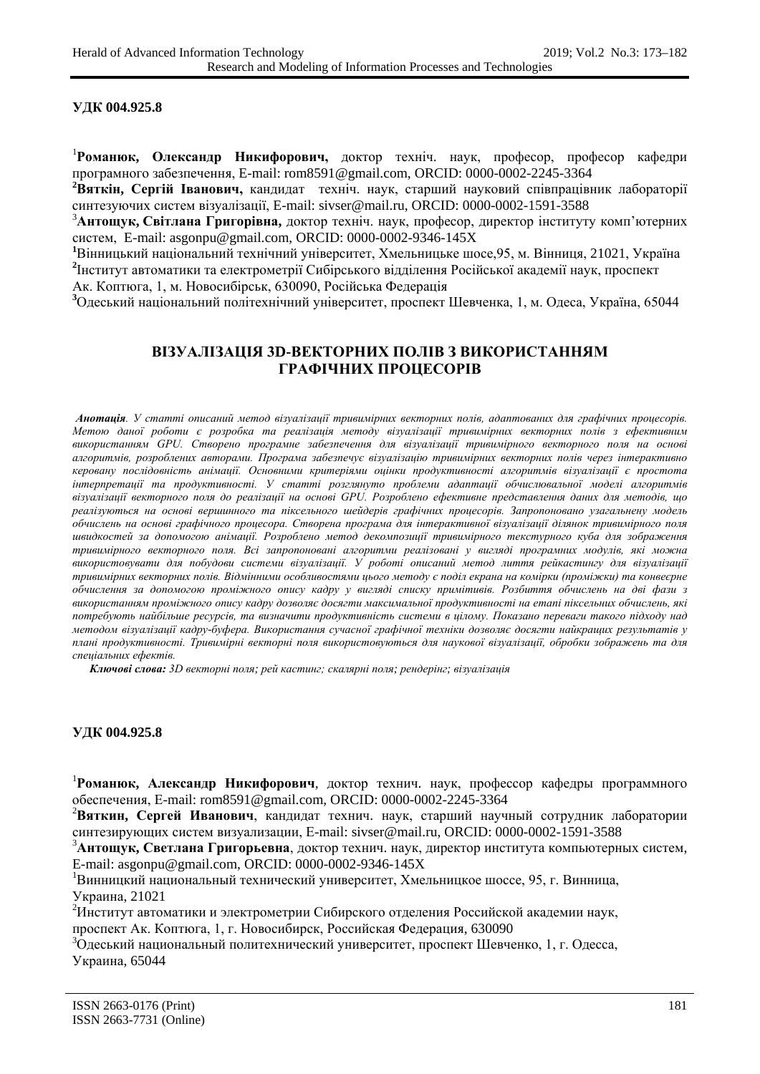## **УДК [004.925.8](https://teacode.com/online/udc/00/004.925.8.html)**

1 **Романюк, Олександр Никифорович,** доктор техніч. наук, професор, професор кафедри програмного забезпечення, E-mail: rom8591@gmail.com, ORCID: 0000-0002-2245-3364

**2 Вяткін, Сергій Іванович,** кандидат техніч. наук, старший науковий співпрацівник лабораторії синтезуючих систем візуалізації, E-mail: [sivser@mail.ru,](mailto:sivser@mail.ru) ORCID: 0000-0002-1591-3588

3 **Антощук, Світлана Григорівна,** доктор техніч. наук, професор, директор інституту комп'ютерних систем, E-mail: [asgonpu@gmail.com,](mailto:asgonpu@gmail.com) ORCID: [0000-0002-9346-145X](https://orcid.org/0000-0002-9346-145X)

**1** Вінницький національний технічний університет, Хмельницьке шосе,95, м. Вінниця, 21021, Україна **2** Інститут автоматики та електрометрії Сибірського відділення Російської академії наук, проспект Ак. Коптюга, 1, м. Новосибірськ, 630090, Російська Федерація

**3** Одеський національний політехнічний університет, проспект Шевченка, 1, м. Одеса, Україна, 65044

# **ВІЗУАЛІЗАЦІЯ 3D-ВЕКТОРНИХ ПОЛІВ З ВИКОРИСТАННЯМ ГРАФІЧНИХ ПРОЦЕСОРІВ**

*Анотація. У статті описаний метод візуалізації тривимірних векторних полів, адаптованих для графічних процесорів. Метою даної роботи є розробка та реалізація методу візуалізації тривимірних векторних полів з ефективним використанням GPU. Створено програмне забезпечення для візуалізації тривимірного векторного поля на основі алгоритмів, розроблених авторами. Програма забезпечує візуалізацію тривимірних векторних полів через інтерактивно керовану послідовність анімації. Основними критеріями оцінки продуктивності алгоритмів візуалізації є простота інтерпретації та продуктивності. У статті розглянуто проблеми адаптації обчислювальної моделі алгоритмів візуалізації векторного поля до реалізації на основі GPU. Розроблено ефективне представлення даних для методів, що реалізуються на основі вершинного та піксельного шейдерів графічних процесорів. Запропоновано узагальнену модель обчислень на основі графічного процесора. Створена програма для інтерактивної візуалізації ділянок тривимірного поля швидкостей за допомогою анімації. Розроблено метод декомпозиції тривимірного текстурного куба для зображення тривимірного векторного поля. Всі запропоновані алгоритми реалізовані у вигляді програмних модулів, які можна використовувати для побудови системи візуалізації. У роботі описаний метод лиття рейкастингу для візуалізації тривимірних векторних полів. Відмінними особливостями цього методу є поділ екрана на комірки (проміжки) та конвеєрне обчислення за допомогою проміжного опису кадру у вигляді списку примітивів. Розбиття обчислень на дві фази з використанням проміжного опису кадру дозволяє досягти максимальної продуктивності на етапі піксельних обчислень, які потребують найбільше ресурсів, та визначити продуктивність системи в цілому. Показано переваги такого підходу над методом візуалізації кадру-буфера. Використання сучасної графічної техніки дозволяє досягти найкращих результатів у плані продуктивності. Тривимірні векторні поля використовуються для наукової візуалізації, обробки зображень та для спеціальних ефектів.*

 *Ключові слова: 3D векторні поля; рей кастинг; скалярні поля; рендерінг; візуалізація*

## **УДК [004.925.8](https://teacode.com/online/udc/00/004.925.8.html)**

1 **Романюк, Александр Никифорович***,* доктор технич. наук, профессор кафедры программного обеспечения, E-mail: rom8591@gmail.com, ORCID: 0000-0002-2245-3364

2 **Вяткин, Сергей Иванович**, кандидат технич. наук, старший научный сотрудник лаборатории синтезирующих систем визуализации, E-mail: [sivser@mail.ru,](mailto:sivser@mail.ru) ORCID: 0000-0002-1591-3588

3 **Антощук, Светлана Григорьевна**, доктор технич. наук, директор института компьютерных систем, E-mail: asgonpu@gmail.com, ORCID: 0000-0002-9346-145X

1 Винницкий национальный технический университет, Хмельницкое шоссе, 95, г. Винница, Украина, 21021

<sup>2</sup>Институт автоматики и электрометрии Сибирского отделения Российской академии наук,

проспект Ак. Коптюга, 1, г. Новосибирск, Российская Федерация, 630090

 $^3$ Одеський национальный политехнический университет, проспект Шевченко, 1, г. Одесса, Украина, 65044